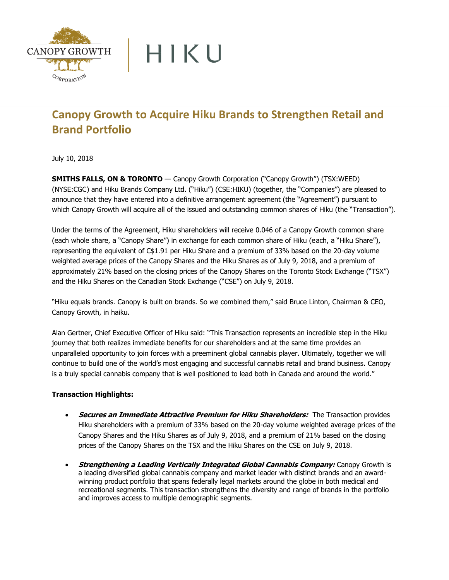



# **Canopy Growth to Acquire Hiku Brands to Strengthen Retail and Brand Portfolio**

July 10, 2018

**SMITHS FALLS, ON & TORONTO** — Canopy Growth Corporation ("Canopy Growth") (TSX:WEED) (NYSE:CGC) and Hiku Brands Company Ltd. ("Hiku") (CSE:HIKU) (together, the "Companies") are pleased to announce that they have entered into a definitive arrangement agreement (the "Agreement") pursuant to which Canopy Growth will acquire all of the issued and outstanding common shares of Hiku (the "Transaction").

Under the terms of the Agreement, Hiku shareholders will receive 0.046 of a Canopy Growth common share (each whole share, a "Canopy Share") in exchange for each common share of Hiku (each, a "Hiku Share"), representing the equivalent of C\$1.91 per Hiku Share and a premium of 33% based on the 20-day volume weighted average prices of the Canopy Shares and the Hiku Shares as of July 9, 2018, and a premium of approximately 21% based on the closing prices of the Canopy Shares on the Toronto Stock Exchange ("TSX") and the Hiku Shares on the Canadian Stock Exchange ("CSE") on July 9, 2018.

"Hiku equals brands. Canopy is built on brands. So we combined them," said Bruce Linton, Chairman & CEO, Canopy Growth, in haiku.

Alan Gertner, Chief Executive Officer of Hiku said: "This Transaction represents an incredible step in the Hiku journey that both realizes immediate benefits for our shareholders and at the same time provides an unparalleled opportunity to join forces with a preeminent global cannabis player. Ultimately, together we will continue to build one of the world's most engaging and successful cannabis retail and brand business. Canopy is a truly special cannabis company that is well positioned to lead both in Canada and around the world."

## **Transaction Highlights:**

- **Secures an Immediate Attractive Premium for Hiku Shareholders:** The Transaction provides Hiku shareholders with a premium of 33% based on the 20-day volume weighted average prices of the Canopy Shares and the Hiku Shares as of July 9, 2018, and a premium of 21% based on the closing prices of the Canopy Shares on the TSX and the Hiku Shares on the CSE on July 9, 2018.
- **Strengthening a Leading Vertically Integrated Global Cannabis Company:** Canopy Growth is a leading diversified global cannabis company and market leader with distinct brands and an awardwinning product portfolio that spans federally legal markets around the globe in both medical and recreational segments. This transaction strengthens the diversity and range of brands in the portfolio and improves access to multiple demographic segments.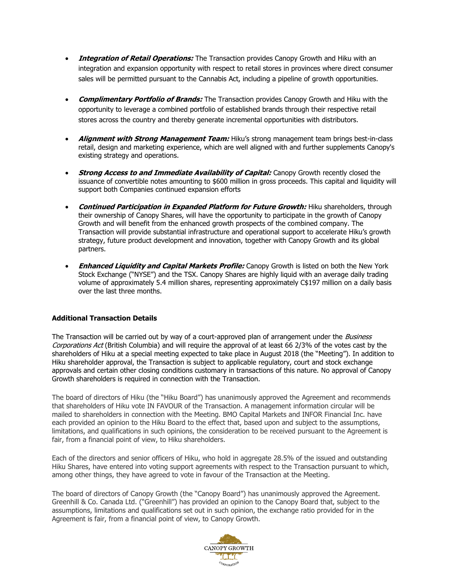- **Integration of Retail Operations:** The Transaction provides Canopy Growth and Hiku with an integration and expansion opportunity with respect to retail stores in provinces where direct consumer sales will be permitted pursuant to the Cannabis Act, including a pipeline of growth opportunities.
- **Complimentary Portfolio of Brands:** The Transaction provides Canopy Growth and Hiku with the opportunity to leverage a combined portfolio of established brands through their respective retail stores across the country and thereby generate incremental opportunities with distributors.
- **Alignment with Strong Management Team:** Hiku's strong management team brings best-in-class retail, design and marketing experience, which are well aligned with and further supplements Canopy's existing strategy and operations.
- **Strong Access to and Immediate Availability of Capital:** Canopy Growth recently closed the issuance of convertible notes amounting to \$600 million in gross proceeds. This capital and liquidity will support both Companies continued expansion efforts
- **Continued Participation in Expanded Platform for Future Growth:** Hiku shareholders, through their ownership of Canopy Shares, will have the opportunity to participate in the growth of Canopy Growth and will benefit from the enhanced growth prospects of the combined company. The Transaction will provide substantial infrastructure and operational support to accelerate Hiku's growth strategy, future product development and innovation, together with Canopy Growth and its global partners.
- **Enhanced Liquidity and Capital Markets Profile:** Canopy Growth is listed on both the New York Stock Exchange ("NYSE") and the TSX. Canopy Shares are highly liquid with an average daily trading volume of approximately 5.4 million shares, representing approximately C\$197 million on a daily basis over the last three months.

## **Additional Transaction Details**

The Transaction will be carried out by way of a court-approved plan of arrangement under the *Business* Corporations Act (British Columbia) and will require the approval of at least 66 2/3% of the votes cast by the shareholders of Hiku at a special meeting expected to take place in August 2018 (the "Meeting"). In addition to Hiku shareholder approval, the Transaction is subject to applicable regulatory, court and stock exchange approvals and certain other closing conditions customary in transactions of this nature. No approval of Canopy Growth shareholders is required in connection with the Transaction.

The board of directors of Hiku (the "Hiku Board") has unanimously approved the Agreement and recommends that shareholders of Hiku vote IN FAVOUR of the Transaction. A management information circular will be mailed to shareholders in connection with the Meeting. BMO Capital Markets and INFOR Financial Inc. have each provided an opinion to the Hiku Board to the effect that, based upon and subject to the assumptions, limitations, and qualifications in such opinions, the consideration to be received pursuant to the Agreement is fair, from a financial point of view, to Hiku shareholders.

Each of the directors and senior officers of Hiku, who hold in aggregate 28.5% of the issued and outstanding Hiku Shares, have entered into voting support agreements with respect to the Transaction pursuant to which, among other things, they have agreed to vote in favour of the Transaction at the Meeting.

The board of directors of Canopy Growth (the "Canopy Board") has unanimously approved the Agreement. Greenhill & Co. Canada Ltd. ("Greenhill") has provided an opinion to the Canopy Board that, subject to the assumptions, limitations and qualifications set out in such opinion, the exchange ratio provided for in the Agreement is fair, from a financial point of view, to Canopy Growth.

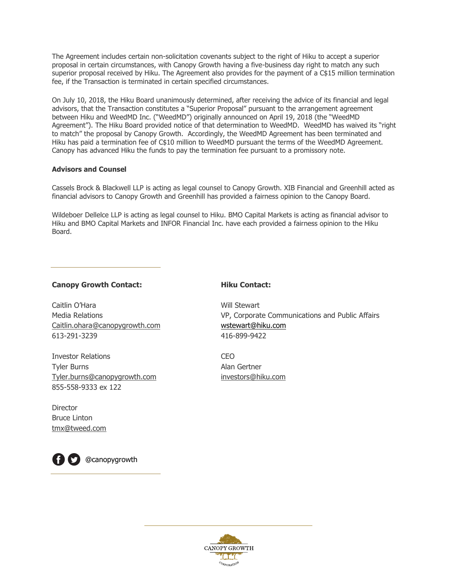The Agreement includes certain non-solicitation covenants subject to the right of Hiku to accept a superior proposal in certain circumstances, with Canopy Growth having a five-business day right to match any such superior proposal received by Hiku. The Agreement also provides for the payment of a C\$15 million termination fee, if the Transaction is terminated in certain specified circumstances.

On July 10, 2018, the Hiku Board unanimously determined, after receiving the advice of its financial and legal advisors, that the Transaction constitutes a "Superior Proposal" pursuant to the arrangement agreement between Hiku and WeedMD Inc. ("WeedMD") originally announced on April 19, 2018 (the "WeedMD Agreement"). The Hiku Board provided notice of that determination to WeedMD. WeedMD has waived its "right to match" the proposal by Canopy Growth. Accordingly, the WeedMD Agreement has been terminated and Hiku has paid a termination fee of C\$10 million to WeedMD pursuant the terms of the WeedMD Agreement. Canopy has advanced Hiku the funds to pay the termination fee pursuant to a promissory note.

#### **Advisors and Counsel**

Cassels Brock & Blackwell LLP is acting as legal counsel to Canopy Growth. XIB Financial and Greenhill acted as financial advisors to Canopy Growth and Greenhill has provided a fairness opinion to the Canopy Board.

Wildeboer Dellelce LLP is acting as legal counsel to Hiku. BMO Capital Markets is acting as financial advisor to Hiku and BMO Capital Markets and INFOR Financial Inc. have each provided a fairness opinion to the Hiku Board.

## **Canopy Growth Contact:**

Caitlin O'Hara Media Relations Caitlin.ohara@canopygrowth.com 613-291-3239

Investor Relations Tyler Burns Tyler.burns@canopygrowth.com 855-558-9333 ex 122

**Director** Bruce Linton tmx@tweed.com



#### **Hiku Contact:**

Will Stewart VP, Corporate Communications and Public Affairs [wstewart@hiku.com](mailto:wstewart@hiku.com) 416-899-9422

CEO Alan Gertner investors@hiku.com

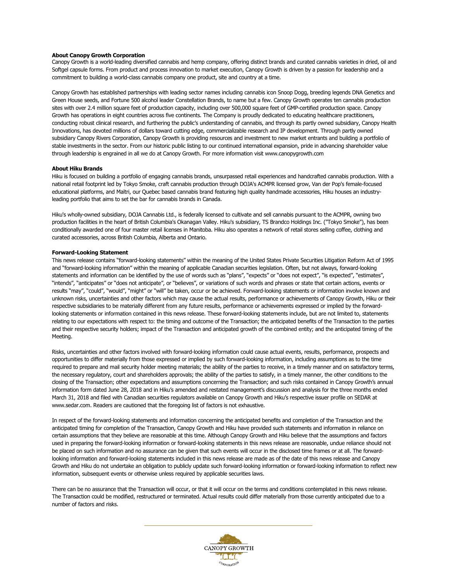#### **About Canopy Growth Corporation**

Canopy Growth is a world-leading diversified cannabis and hemp company, offering distinct brands and curated cannabis varieties in dried, oil and Softgel capsule forms. From product and process innovation to market execution, Canopy Growth is driven by a passion for leadership and a commitment to building a world-class cannabis company one product, site and country at a time.

Canopy Growth has established partnerships with leading sector names including cannabis icon Snoop Dogg, breeding legends DNA Genetics and Green House seeds, and Fortune 500 alcohol leader Constellation Brands, to name but a few. Canopy Growth operates ten cannabis production sites with over 2.4 million square feet of production capacity, including over 500,000 square feet of GMP-certified production space. Canopy Growth has operations in eight countries across five continents. The Company is proudly dedicated to educating healthcare practitioners, conducting robust clinical research, and furthering the public's understanding of cannabis, and through its partly owned subsidiary, Canopy Health Innovations, has devoted millions of dollars toward cutting edge, commercializable research and IP development. Through partly owned subsidiary Canopy Rivers Corporation, Canopy Growth is providing resources and investment to new market entrants and building a portfolio of stable investments in the sector. From our historic public listing to our continued international expansion, pride in advancing shareholder value through leadership is engrained in all we do at Canopy Growth. For more information visit www.canopygrowth.com

#### **About Hiku Brands**

Hiku is focused on building a portfolio of engaging cannabis brands, unsurpassed retail experiences and handcrafted cannabis production. With a national retail footprint led by Tokyo Smoke, craft cannabis production through DOJA's ACMPR licensed grow, Van der Pop's female-focused educational platforms, and Maïtri, our Quebec based cannabis brand featuring high quality handmade accessories, Hiku houses an industryleading portfolio that aims to set the bar for cannabis brands in Canada.

Hiku's wholly-owned subsidiary, DOJA Cannabis Ltd., is federally licensed to cultivate and sell cannabis pursuant to the ACMPR, owning two production facilities in the heart of British Columbia's Okanagan Valley. Hiku's subsidiary, TS Brandco Holdings Inc. ("Tokyo Smoke"), has been conditionally awarded one of four master retail licenses in Manitoba. Hiku also operates a network of retail stores selling coffee, clothing and curated accessories, across British Columbia, Alberta and Ontario.

#### **Forward-Looking Statement**

This news release contains "forward-looking statements" within the meaning of the United States Private Securities Litigation Reform Act of 1995 and "forward-looking information" within the meaning of applicable Canadian securities legislation. Often, but not always, forward-looking statements and information can be identified by the use of words such as "plans", "expects" or "does not expect", "is expected", "estimates", "intends", "anticipates" or "does not anticipate", or "believes", or variations of such words and phrases or state that certain actions, events or results "may", "could", "would", "might" or "will" be taken, occur or be achieved. Forward-looking statements or information involve known and unknown risks, uncertainties and other factors which may cause the actual results, performance or achievements of Canopy Growth, Hiku or their respective subsidiaries to be materially different from any future results, performance or achievements expressed or implied by the forwardlooking statements or information contained in this news release. These forward-looking statements include, but are not limited to, statements relating to our expectations with respect to: the timing and outcome of the Transaction; the anticipated benefits of the Transaction to the parties and their respective security holders; impact of the Transaction and anticipated growth of the combined entity; and the anticipated timing of the Meeting.

Risks, uncertainties and other factors involved with forward-looking information could cause actual events, results, performance, prospects and opportunities to differ materially from those expressed or implied by such forward-looking information, including assumptions as to the time required to prepare and mail security holder meeting materials; the ability of the parties to receive, in a timely manner and on satisfactory terms, the necessary regulatory, court and shareholders approvals; the ability of the parties to satisfy, in a timely manner, the other conditions to the closing of the Transaction; other expectations and assumptions concerning the Transaction; and such risks contained in Canopy Growth's annual information form dated June 28, 2018 and in Hiku's amended and restated management's discussion and analysis for the three months ended March 31, 2018 and filed with Canadian securities regulators available on Canopy Growth and Hiku's respective issuer profile on SEDAR at www.sedar.com. Readers are cautioned that the foregoing list of factors is not exhaustive.

In respect of the forward-looking statements and information concerning the anticipated benefits and completion of the Transaction and the anticipated timing for completion of the Transaction, Canopy Growth and Hiku have provided such statements and information in reliance on certain assumptions that they believe are reasonable at this time. Although Canopy Growth and Hiku believe that the assumptions and factors used in preparing the forward-looking information or forward-looking statements in this news release are reasonable, undue reliance should not be placed on such information and no assurance can be given that such events will occur in the disclosed time frames or at all. The forwardlooking information and forward-looking statements included in this news release are made as of the date of this news release and Canopy Growth and Hiku do not undertake an obligation to publicly update such forward-looking information or forward-looking information to reflect new information, subsequent events or otherwise unless required by applicable securities laws.

There can be no assurance that the Transaction will occur, or that it will occur on the terms and conditions contemplated in this news release. The Transaction could be modified, restructured or terminated. Actual results could differ materially from those currently anticipated due to a number of factors and risks.